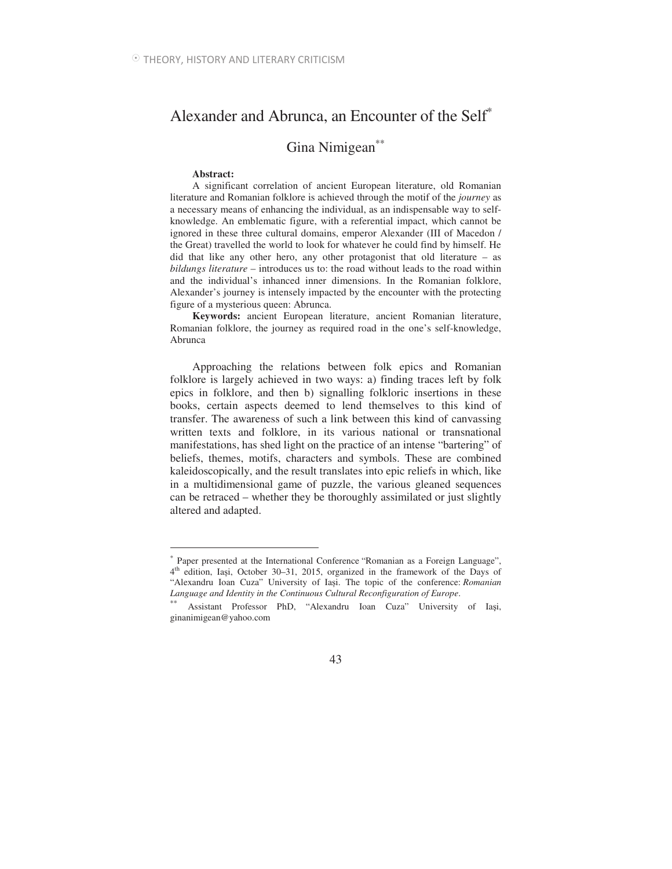## Alexander and Abrunca, an Encounter of the Self<sup>\*</sup>

## Gina Nimigean<sup>\*\*</sup>

## **Abstract:**

 $\overline{a}$ 

A significant correlation of ancient European literature, old Romanian literature and Romanian folklore is achieved through the motif of the *journey* as a necessary means of enhancing the individual, as an indispensable way to selfknowledge. An emblematic figure, with a referential impact, which cannot be ignored in these three cultural domains, emperor Alexander (III of Macedon / the Great) travelled the world to look for whatever he could find by himself. He did that like any other hero, any other protagonist that old literature – as *bildungs literature* – introduces us to: the road without leads to the road within and the individual's inhanced inner dimensions. In the Romanian folklore, Alexander's journey is intensely impacted by the encounter with the protecting figure of a mysterious queen: Abrunca.

**Keywords:** ancient European literature, ancient Romanian literature, Romanian folklore, the journey as required road in the one's self-knowledge, Abrunca

Approaching the relations between folk epics and Romanian folklore is largely achieved in two ways: a) finding traces left by folk epics in folklore, and then b) signalling folkloric insertions in these books, certain aspects deemed to lend themselves to this kind of transfer. The awareness of such a link between this kind of canvassing written texts and folklore, in its various national or transnational manifestations, has shed light on the practice of an intense "bartering" of beliefs, themes, motifs, characters and symbols. These are combined kaleidoscopically, and the result translates into epic reliefs in which, like in a multidimensional game of puzzle, the various gleaned sequences can be retraced – whether they be thoroughly assimilated or just slightly altered and adapted.

<sup>∗</sup> Paper presented at the International Conference "Romanian as a Foreign Language", 4<sup>th</sup> edition, Iași, October 30–31, 2015, organized in the framework of the Days of "Alexandru Ioan Cuza" University of Iai. The topic of the conference: *Romanian Language and Identity in the Continuous Cultural Reconfiguration of Europe*.

<sup>∗∗</sup> Assistant Professor PhD, "Alexandru Ioan Cuza" University of Iai, ginanimigean@yahoo.com

<sup>43</sup>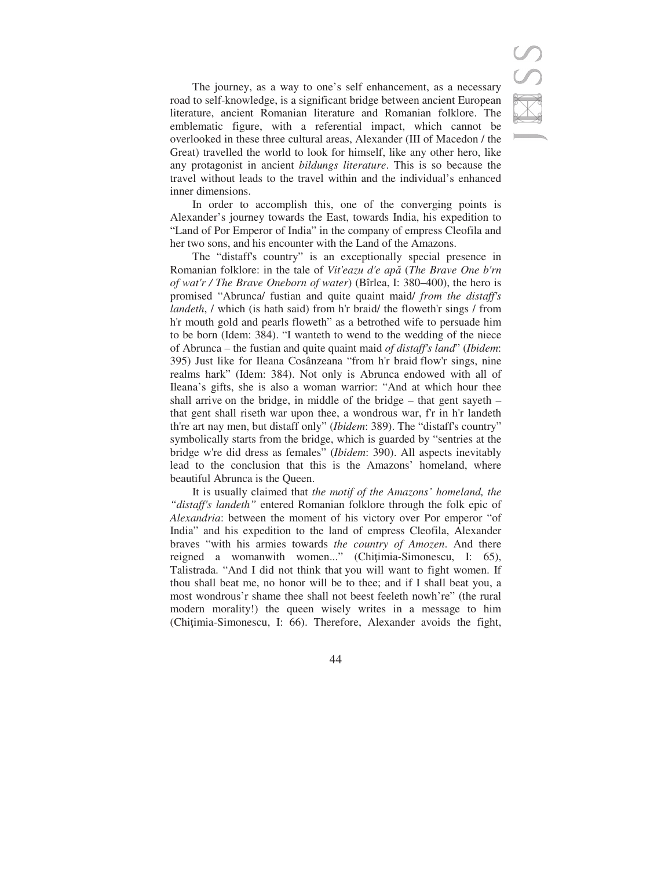The journey, as a way to one's self enhancement, as a necessary road to self-knowledge, is a significant bridge between ancient European literature, ancient Romanian literature and Romanian folklore. The emblematic figure, with a referential impact, which cannot be overlooked in these three cultural areas, Alexander (III of Macedon / the Great) travelled the world to look for himself, like any other hero, like any protagonist in ancient *bildungs literature*. This is so because the travel without leads to the travel within and the individual's enhanced inner dimensions.

In order to accomplish this, one of the converging points is Alexander's journey towards the East, towards India, his expedition to "Land of Por Emperor of India" in the company of empress Cleofila and her two sons, and his encounter with the Land of the Amazons.

The "distaff's country" is an exceptionally special presence in Romanian folklore: in the tale of Vit'eazu d'e apă (The Brave One b'rn *of wat'r / The Brave Oneborn of water*) (Bîrlea, I: 380–400), the hero is promised "Abrunca/ fustian and quite quaint maid/ *from the distaff's landeth*, / which (is hath said) from h'r braid/ the floweth'r sings / from h'r mouth gold and pearls floweth" as a betrothed wife to persuade him to be born (Idem: 384). "I wanteth to wend to the wedding of the niece of Abrunca – the fustian and quite quaint maid *of distaff's land*" (*Ibidem*: 395) Just like for Ileana Cosânzeana "from h'r braid flow'r sings, nine realms hark" (Idem: 384). Not only is Abrunca endowed with all of Ileana's gifts, she is also a woman warrior: "And at which hour thee shall arrive on the bridge, in middle of the bridge – that gent sayeth – that gent shall riseth war upon thee, a wondrous war, f'r in h'r landeth th're art nay men, but distaff only" (*Ibidem*: 389). The "distaff's country" symbolically starts from the bridge, which is guarded by "sentries at the bridge w're did dress as females" (*Ibidem*: 390). All aspects inevitably lead to the conclusion that this is the Amazons' homeland, where beautiful Abrunca is the Queen.

It is usually claimed that *the motif of the Amazons' homeland, the "distaff's landeth"* entered Romanian folklore through the folk epic of *Alexandria*: between the moment of his victory over Por emperor "of India" and his expedition to the land of empress Cleofila, Alexander braves "with his armies towards *the country of Amozen*. And there reigned a womanwith women..." (Chițimia-Simonescu, I: 65), Talistrada. "And I did not think that you will want to fight women. If thou shall beat me, no honor will be to thee; and if I shall beat you, a most wondrous'r shame thee shall not beest feeleth nowh're" (the rural modern morality!) the queen wisely writes in a message to him (Chitimia-Simonescu, I: 66). Therefore, Alexander avoids the fight,

44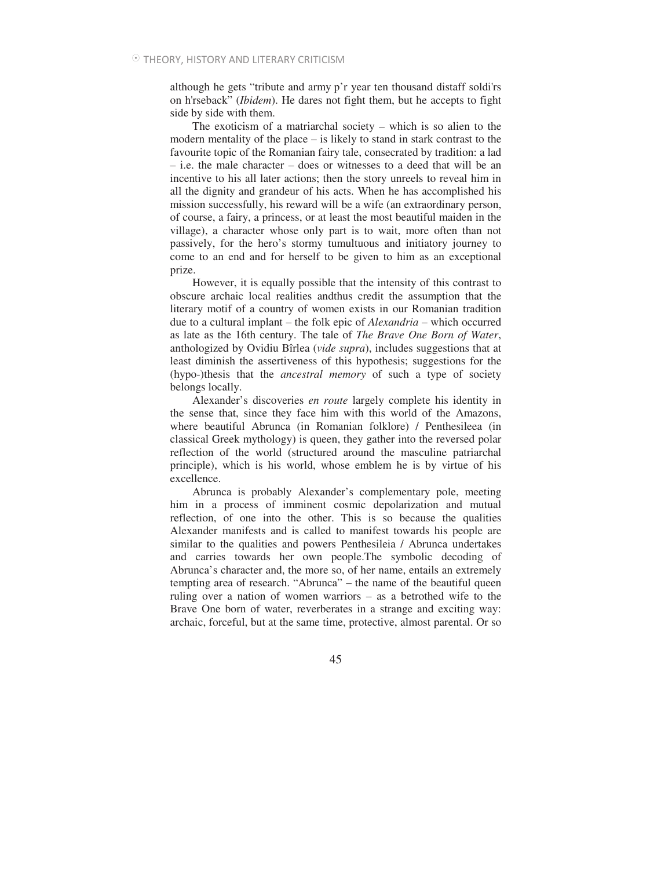although he gets "tribute and army p'r year ten thousand distaff soldi'rs on h'rseback" (*Ibidem*). He dares not fight them, but he accepts to fight side by side with them.

The exoticism of a matriarchal society – which is so alien to the modern mentality of the place – is likely to stand in stark contrast to the favourite topic of the Romanian fairy tale, consecrated by tradition: a lad – i.e. the male character – does or witnesses to a deed that will be an incentive to his all later actions; then the story unreels to reveal him in all the dignity and grandeur of his acts. When he has accomplished his mission successfully, his reward will be a wife (an extraordinary person, of course, a fairy, a princess, or at least the most beautiful maiden in the village), a character whose only part is to wait, more often than not passively, for the hero's stormy tumultuous and initiatory journey to come to an end and for herself to be given to him as an exceptional prize.

However, it is equally possible that the intensity of this contrast to obscure archaic local realities andthus credit the assumption that the literary motif of a country of women exists in our Romanian tradition due to a cultural implant – the folk epic of *Alexandria* – which occurred as late as the 16th century. The tale of *The Brave One Born of Water*, anthologized by Ovidiu Bîrlea (*vide supra*), includes suggestions that at least diminish the assertiveness of this hypothesis; suggestions for the (hypo-)thesis that the *ancestral memory* of such a type of society belongs locally.

Alexander's discoveries *en route* largely complete his identity in the sense that, since they face him with this world of the Amazons, where beautiful Abrunca (in Romanian folklore) / Penthesileea (in classical Greek mythology) is queen, they gather into the reversed polar reflection of the world (structured around the masculine patriarchal principle), which is his world, whose emblem he is by virtue of his excellence.

Abrunca is probably Alexander's complementary pole, meeting him in a process of imminent cosmic depolarization and mutual reflection, of one into the other. This is so because the qualities Alexander manifests and is called to manifest towards his people are similar to the qualities and powers Penthesileia / Abrunca undertakes and carries towards her own people.The symbolic decoding of Abrunca's character and, the more so, of her name, entails an extremely tempting area of research. "Abrunca" – the name of the beautiful queen ruling over a nation of women warriors – as a betrothed wife to the Brave One born of water, reverberates in a strange and exciting way: archaic, forceful, but at the same time, protective, almost parental. Or so

45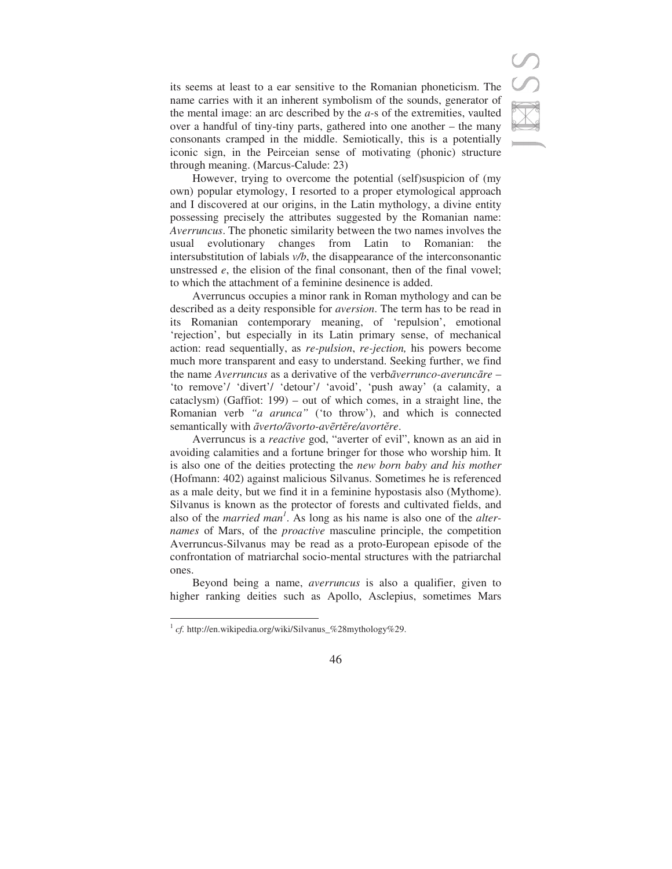

its seems at least to a ear sensitive to the Romanian phoneticism. The name carries with it an inherent symbolism of the sounds, generator of the mental image: an arc described by the *a-*s of the extremities, vaulted over a handful of tiny-tiny parts, gathered into one another – the many consonants cramped in the middle. Semiotically, this is a potentially iconic sign, in the Peirceian sense of motivating (phonic) structure through meaning. (Marcus-Calude: 23)

However, trying to overcome the potential (self)suspicion of (my own) popular etymology, I resorted to a proper etymological approach and I discovered at our origins, in the Latin mythology, a divine entity possessing precisely the attributes suggested by the Romanian name: *Averruncus*. The phonetic similarity between the two names involves the usual evolutionary changes from Latin to Romanian: the intersubstitution of labials *v/b*, the disappearance of the interconsonantic unstressed *e*, the elision of the final consonant, then of the final vowel; to which the attachment of a feminine desinence is added.

Averruncus occupies a minor rank in Roman mythology and can be described as a deity responsible for *aversion*. The term has to be read in its Romanian contemporary meaning, of 'repulsion', emotional 'rejection', but especially in its Latin primary sense, of mechanical action: read sequentially, as *re-pulsion*, *re-jection,* his powers become much more transparent and easy to understand. Seeking further, we find the name *Averruncus* as a derivative of the verbaverrunco-averuncare – 'to remove'/ 'divert'/ 'detour'/ 'avoid', 'push away' (a calamity, a cataclysm) (Gaffiot: 199) – out of which comes, in a straight line, the Romanian verb *"a arunca"* ('to throw'), and which is connected semantically with *āverto/āvorto-avērtěre/avortěre*.

Averruncus is a *reactive* god, "averter of evil", known as an aid in avoiding calamities and a fortune bringer for those who worship him. It is also one of the deities protecting the *new born baby and his mother* (Hofmann: 402) against malicious Silvanus. Sometimes he is referenced as a male deity, but we find it in a feminine hypostasis also (Mythome). Silvanus is known as the protector of forests and cultivated fields, and also of the *married man<sup>1</sup>* . As long as his name is also one of the *alternames* of Mars, of the *proactive* masculine principle, the competition Averruncus-Silvanus may be read as a proto-European episode of the confrontation of matriarchal socio-mental structures with the patriarchal ones.

Beyond being a name, *averruncus* is also a qualifier, given to higher ranking deities such as Apollo, Asclepius, sometimes Mars

 $\overline{a}$ 

46

<sup>&</sup>lt;sup>1</sup> cf. http://en.wikipedia.org/wiki/Silvanus\_%28mythology%29.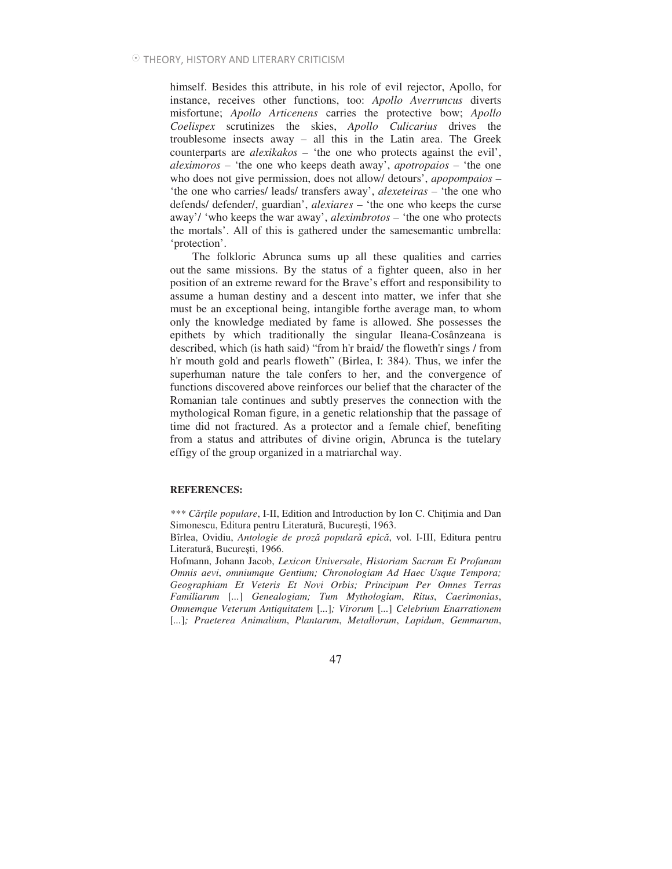himself. Besides this attribute, in his role of evil rejector, Apollo, for instance, receives other functions, too: *Apollo Averruncus* diverts misfortune; *Apollo Articenens* carries the protective bow; *Apollo Coelispex* scrutinizes the skies, *Apollo Culicarius* drives the troublesome insects away – all this in the Latin area. The Greek counterparts are *alexikakos* – 'the one who protects against the evil', *aleximoros* – 'the one who keeps death away', *apotropaios* – 'the one who does not give permission, does not allow/ detours', *apopompaios* – 'the one who carries/ leads/ transfers away', *alexeteiras* – 'the one who defends/ defender/, guardian', *alexiares* – 'the one who keeps the curse away'/ 'who keeps the war away', *aleximbrotos* – 'the one who protects the mortals'. All of this is gathered under the samesemantic umbrella: 'protection'.

The folkloric Abrunca sums up all these qualities and carries out the same missions. By the status of a fighter queen, also in her position of an extreme reward for the Brave's effort and responsibility to assume a human destiny and a descent into matter, we infer that she must be an exceptional being, intangible forthe average man, to whom only the knowledge mediated by fame is allowed. She possesses the epithets by which traditionally the singular Ileana-Cosânzeana is described, which (is hath said) "from h'r braid/ the floweth'r sings / from h'r mouth gold and pearls floweth" (Birlea, I: 384). Thus, we infer the superhuman nature the tale confers to her, and the convergence of functions discovered above reinforces our belief that the character of the Romanian tale continues and subtly preserves the connection with the mythological Roman figure, in a genetic relationship that the passage of time did not fractured. As a protector and a female chief, benefiting from a status and attributes of divine origin, Abrunca is the tutelary effigy of the group organized in a matriarchal way.

## **REFERENCES:**

*\*\*\* Crile populare*, I-II, Edition and Introduction by Ion C. Chiimia and Dan Simonescu, Editura pentru Literatură, București, 1963.

Bîrlea, Ovidiu, *Antologie de proză populară epică*, vol. I-III, Editura pentru Literatură, București, 1966.

Hofmann, Johann Jacob, *Lexicon Universale*, *Historiam Sacram Et Profanam Omnis aevi*, *omniumque Gentium; Chronologiam Ad Haec Usque Tempora; Geographiam Et Veteris Et Novi Orbis; Principum Per Omnes Terras Familiarum* [*...*] *Genealogiam; Tum Mythologiam*, *Ritus*, *Caerimonias*, *Omnemque Veterum Antiquitatem* [*...*]*; Virorum* [*...*] *Celebrium Enarrationem*  [*...*]*; Praeterea Animalium*, *Plantarum*, *Metallorum*, *Lapidum*, *Gemmarum*,